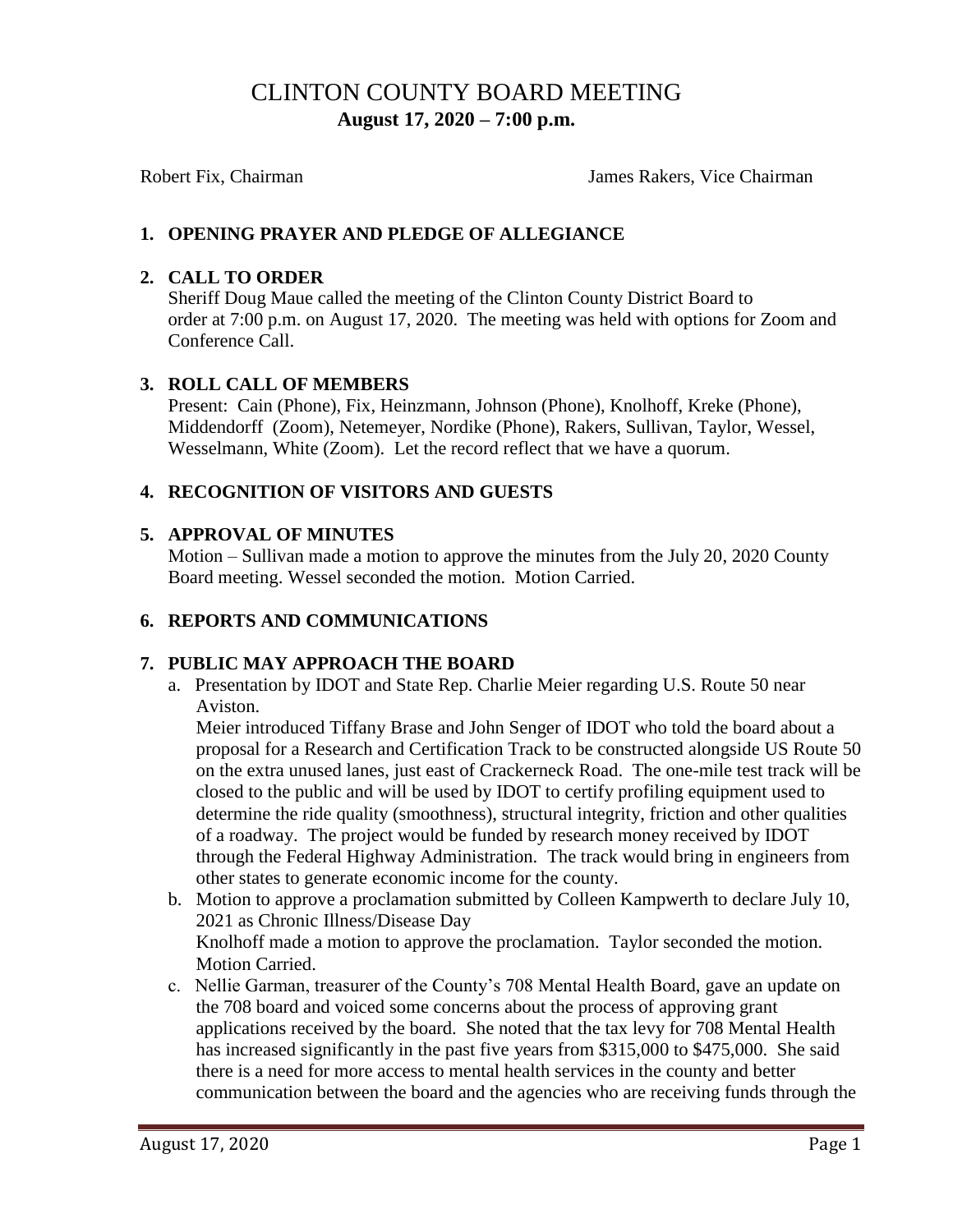# CLINTON COUNTY BOARD MEETING  **August 17, 2020 – 7:00 p.m.**

Robert Fix, Chairman The Chairman James Rakers, Vice Chairman

# **1. OPENING PRAYER AND PLEDGE OF ALLEGIANCE**

#### **2. CALL TO ORDER**

Sheriff Doug Maue called the meeting of the Clinton County District Board to order at 7:00 p.m. on August 17, 2020. The meeting was held with options for Zoom and Conference Call.

#### **3. ROLL CALL OF MEMBERS**

Present: Cain (Phone), Fix, Heinzmann, Johnson (Phone), Knolhoff, Kreke (Phone), Middendorff (Zoom), Netemeyer, Nordike (Phone), Rakers, Sullivan, Taylor, Wessel, Wesselmann, White (Zoom). Let the record reflect that we have a quorum.

## **4. RECOGNITION OF VISITORS AND GUESTS**

## **5. APPROVAL OF MINUTES**

Motion – Sullivan made a motion to approve the minutes from the July 20, 2020 County Board meeting. Wessel seconded the motion. Motion Carried.

#### **6. REPORTS AND COMMUNICATIONS**

#### **7. PUBLIC MAY APPROACH THE BOARD**

a. Presentation by IDOT and State Rep. Charlie Meier regarding U.S. Route 50 near Aviston.

Meier introduced Tiffany Brase and John Senger of IDOT who told the board about a proposal for a Research and Certification Track to be constructed alongside US Route 50 on the extra unused lanes, just east of Crackerneck Road. The one-mile test track will be closed to the public and will be used by IDOT to certify profiling equipment used to determine the ride quality (smoothness), structural integrity, friction and other qualities of a roadway. The project would be funded by research money received by IDOT through the Federal Highway Administration. The track would bring in engineers from other states to generate economic income for the county.

- b. Motion to approve a proclamation submitted by Colleen Kampwerth to declare July 10, 2021 as Chronic Illness/Disease Day Knolhoff made a motion to approve the proclamation. Taylor seconded the motion. Motion Carried.
- c. Nellie Garman, treasurer of the County's 708 Mental Health Board, gave an update on the 708 board and voiced some concerns about the process of approving grant applications received by the board. She noted that the tax levy for 708 Mental Health has increased significantly in the past five years from \$315,000 to \$475,000. She said there is a need for more access to mental health services in the county and better communication between the board and the agencies who are receiving funds through the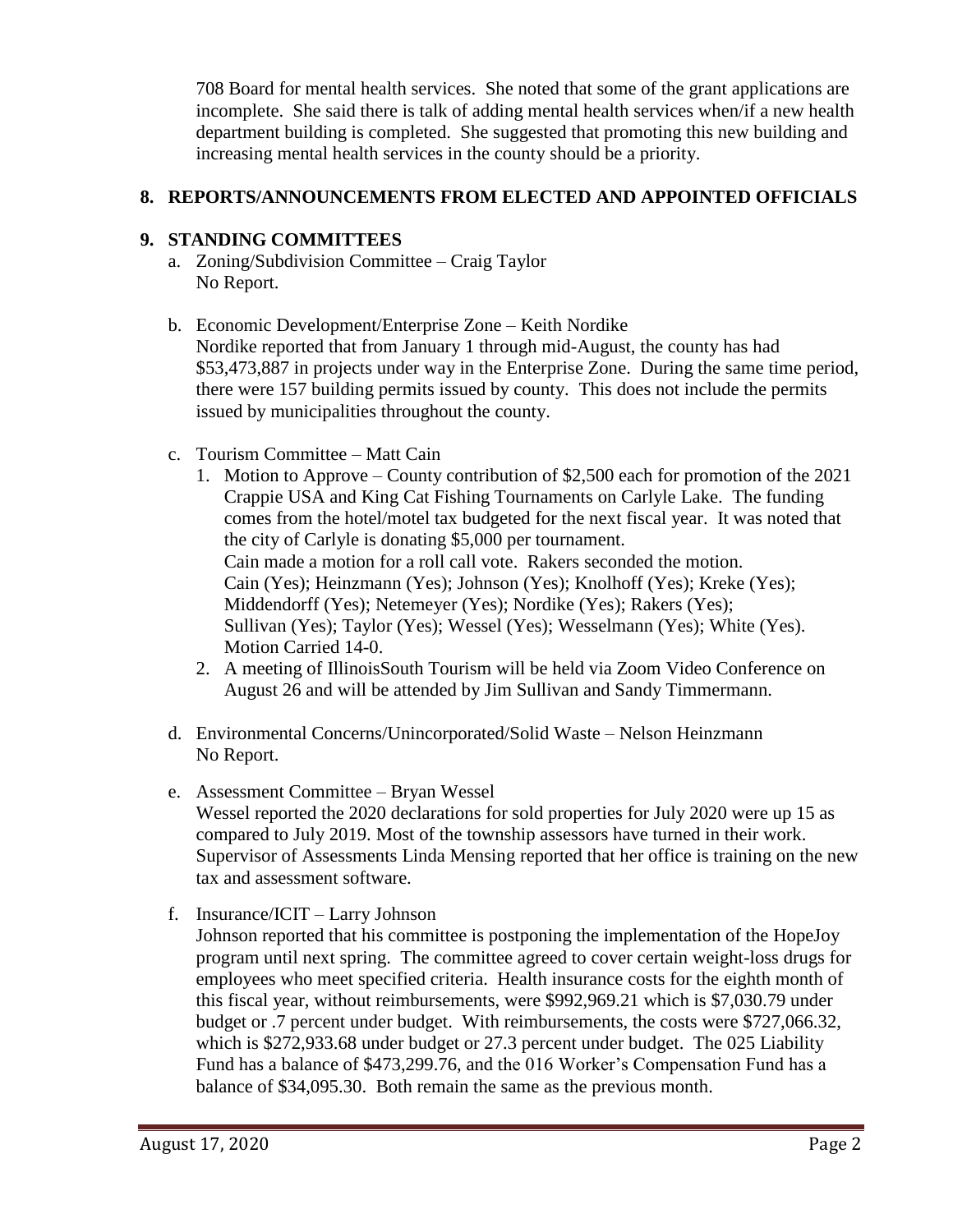708 Board for mental health services. She noted that some of the grant applications are incomplete. She said there is talk of adding mental health services when/if a new health department building is completed. She suggested that promoting this new building and increasing mental health services in the county should be a priority.

# **8. REPORTS/ANNOUNCEMENTS FROM ELECTED AND APPOINTED OFFICIALS**

## **9. STANDING COMMITTEES**

- a. Zoning/Subdivision Committee Craig Taylor No Report.
- b. Economic Development/Enterprise Zone Keith Nordike Nordike reported that from January 1 through mid-August, the county has had \$53,473,887 in projects under way in the Enterprise Zone. During the same time period, there were 157 building permits issued by county. This does not include the permits issued by municipalities throughout the county.
- c. Tourism Committee Matt Cain
	- 1. Motion to Approve County contribution of \$2,500 each for promotion of the 2021 Crappie USA and King Cat Fishing Tournaments on Carlyle Lake. The funding comes from the hotel/motel tax budgeted for the next fiscal year. It was noted that the city of Carlyle is donating \$5,000 per tournament. Cain made a motion for a roll call vote. Rakers seconded the motion. Cain (Yes); Heinzmann (Yes); Johnson (Yes); Knolhoff (Yes); Kreke (Yes); Middendorff (Yes); Netemeyer (Yes); Nordike (Yes); Rakers (Yes); Sullivan (Yes); Taylor (Yes); Wessel (Yes); Wesselmann (Yes); White (Yes). Motion Carried 14-0.
	- 2. A meeting of IllinoisSouth Tourism will be held via Zoom Video Conference on August 26 and will be attended by Jim Sullivan and Sandy Timmermann.
- d. Environmental Concerns/Unincorporated/Solid Waste Nelson Heinzmann No Report.
- e. Assessment Committee Bryan Wessel Wessel reported the 2020 declarations for sold properties for July 2020 were up 15 as compared to July 2019. Most of the township assessors have turned in their work. Supervisor of Assessments Linda Mensing reported that her office is training on the new tax and assessment software.
- f. Insurance/ICIT Larry Johnson

Johnson reported that his committee is postponing the implementation of the HopeJoy program until next spring. The committee agreed to cover certain weight-loss drugs for employees who meet specified criteria. Health insurance costs for the eighth month of this fiscal year, without reimbursements, were \$992,969.21 which is \$7,030.79 under budget or .7 percent under budget. With reimbursements, the costs were \$727,066.32, which is \$272,933.68 under budget or 27.3 percent under budget. The 025 Liability Fund has a balance of \$473,299.76, and the 016 Worker's Compensation Fund has a balance of \$34,095.30. Both remain the same as the previous month.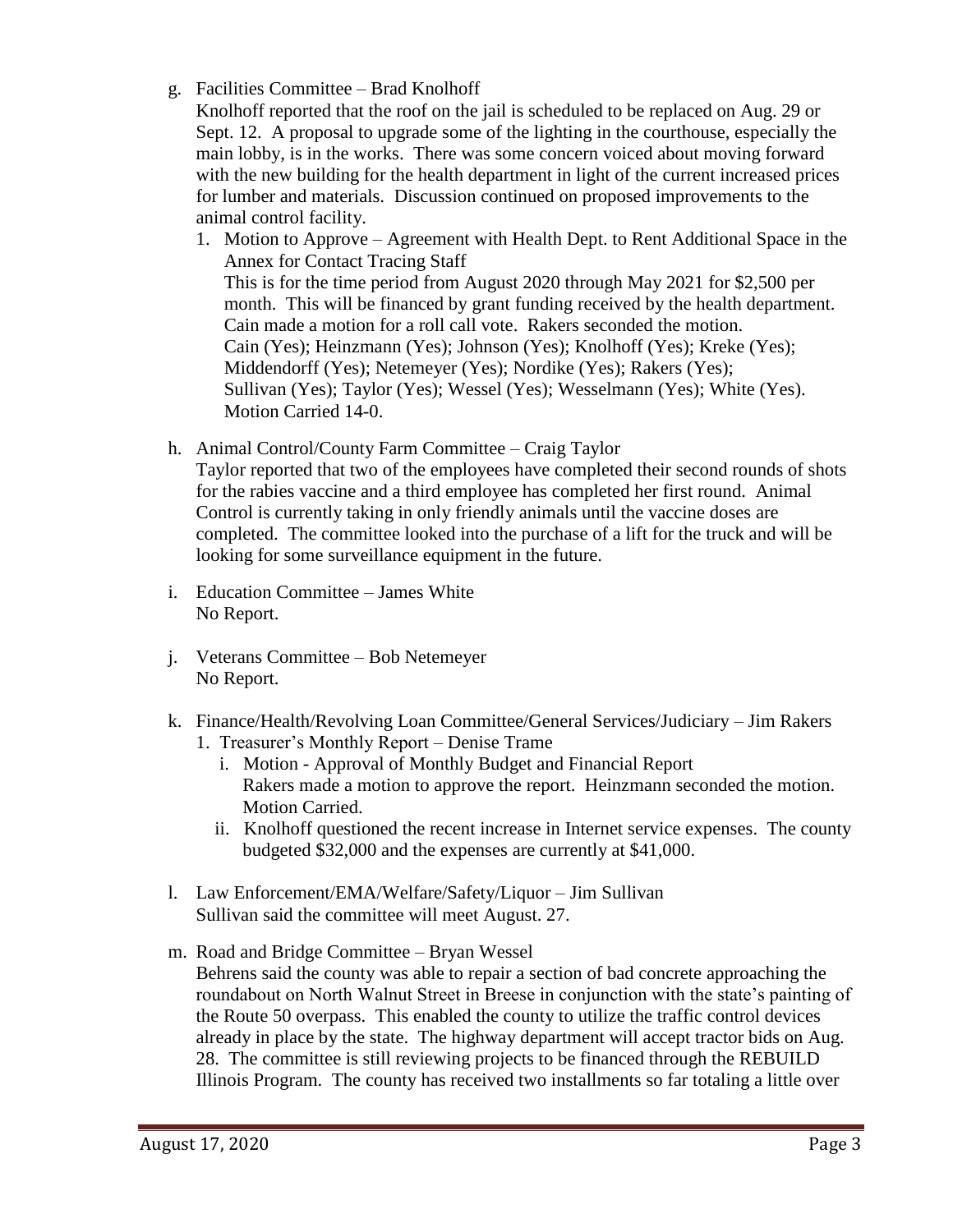- g. Facilities Committee Brad Knolhoff
	- Knolhoff reported that the roof on the jail is scheduled to be replaced on Aug. 29 or Sept. 12. A proposal to upgrade some of the lighting in the courthouse, especially the main lobby, is in the works. There was some concern voiced about moving forward with the new building for the health department in light of the current increased prices for lumber and materials. Discussion continued on proposed improvements to the animal control facility.
	- 1. Motion to Approve Agreement with Health Dept. to Rent Additional Space in the Annex for Contact Tracing Staff This is for the time period from August 2020 through May 2021 for \$2,500 per month. This will be financed by grant funding received by the health department. Cain made a motion for a roll call vote. Rakers seconded the motion. Cain (Yes); Heinzmann (Yes); Johnson (Yes); Knolhoff (Yes); Kreke (Yes); Middendorff (Yes); Netemeyer (Yes); Nordike (Yes); Rakers (Yes); Sullivan (Yes); Taylor (Yes); Wessel (Yes); Wesselmann (Yes); White (Yes). Motion Carried 14-0.
- h. Animal Control/County Farm Committee Craig Taylor Taylor reported that two of the employees have completed their second rounds of shots for the rabies vaccine and a third employee has completed her first round. Animal Control is currently taking in only friendly animals until the vaccine doses are completed. The committee looked into the purchase of a lift for the truck and will be looking for some surveillance equipment in the future.
- i. Education Committee James White No Report.
- j. Veterans Committee Bob Netemeyer No Report.
- k. Finance/Health/Revolving Loan Committee/General Services/Judiciary Jim Rakers
	- 1. Treasurer's Monthly Report Denise Trame
		- i. Motion Approval of Monthly Budget and Financial Report Rakers made a motion to approve the report. Heinzmann seconded the motion. Motion Carried.
		- ii. Knolhoff questioned the recent increase in Internet service expenses. The county budgeted \$32,000 and the expenses are currently at \$41,000.
- l. Law Enforcement/EMA/Welfare/Safety/Liquor Jim Sullivan Sullivan said the committee will meet August. 27.
- m. Road and Bridge Committee Bryan Wessel Behrens said the county was able to repair a section of bad concrete approaching the roundabout on North Walnut Street in Breese in conjunction with the state's painting of the Route 50 overpass. This enabled the county to utilize the traffic control devices already in place by the state. The highway department will accept tractor bids on Aug. 28. The committee is still reviewing projects to be financed through the REBUILD Illinois Program. The county has received two installments so far totaling a little over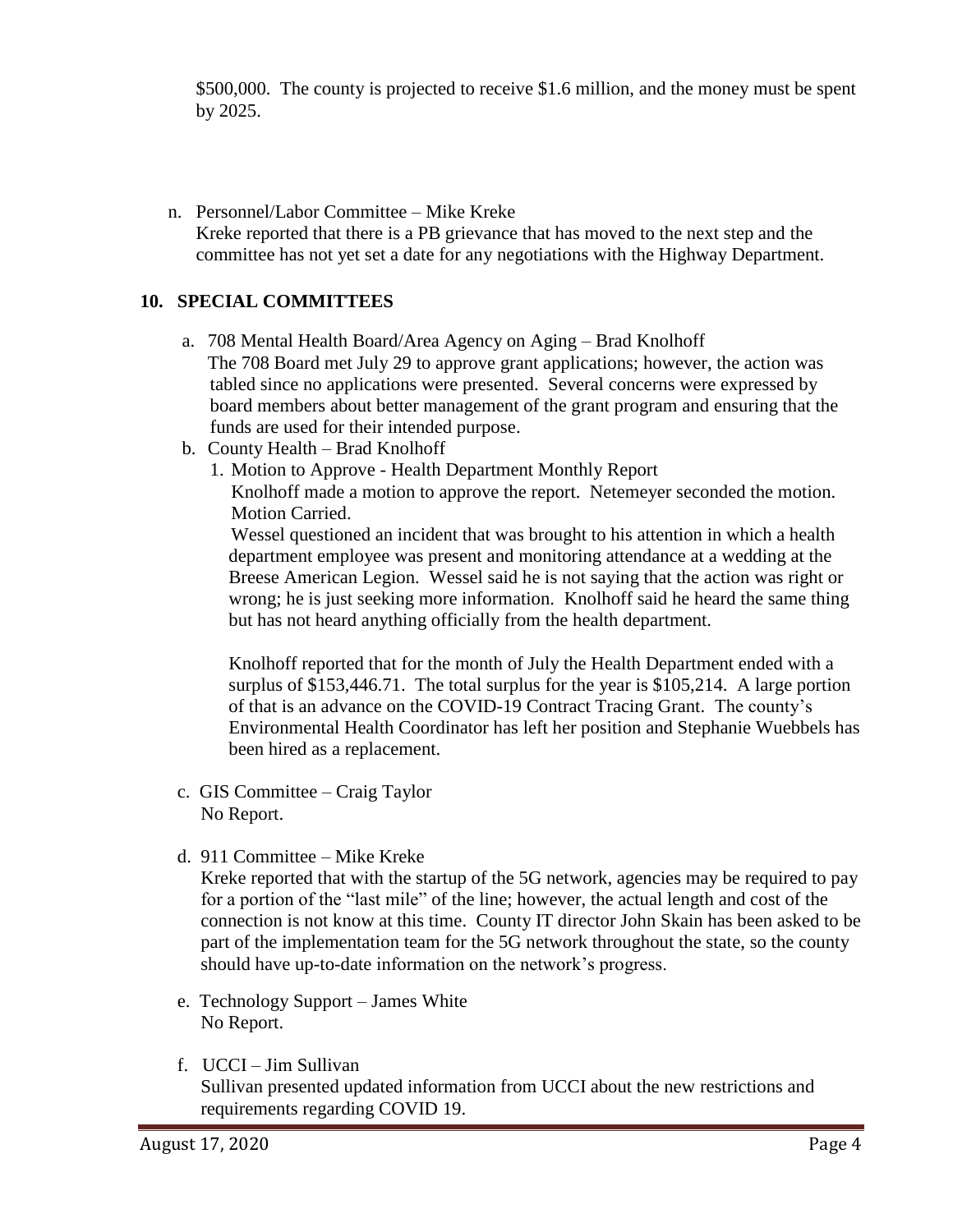\$500,000. The county is projected to receive \$1.6 million, and the money must be spent by 2025.

n. Personnel/Labor Committee – Mike Kreke Kreke reported that there is a PB grievance that has moved to the next step and the committee has not yet set a date for any negotiations with the Highway Department.

## **10. SPECIAL COMMITTEES**

- a. 708 Mental Health Board/Area Agency on Aging Brad Knolhoff The 708 Board met July 29 to approve grant applications; however, the action was tabled since no applications were presented. Several concerns were expressed by board members about better management of the grant program and ensuring that the funds are used for their intended purpose.
- b. County Health Brad Knolhoff
	- 1. Motion to Approve Health Department Monthly Report Knolhoff made a motion to approve the report. Netemeyer seconded the motion. Motion Carried.

Wessel questioned an incident that was brought to his attention in which a health department employee was present and monitoring attendance at a wedding at the Breese American Legion. Wessel said he is not saying that the action was right or wrong; he is just seeking more information. Knolhoff said he heard the same thing but has not heard anything officially from the health department.

 Knolhoff reported that for the month of July the Health Department ended with a surplus of \$153,446.71. The total surplus for the year is \$105,214. A large portion of that is an advance on the COVID-19 Contract Tracing Grant. The county's Environmental Health Coordinator has left her position and Stephanie Wuebbels has been hired as a replacement.

- c. GIS Committee Craig Taylor No Report.
- d. 911 Committee Mike Kreke

Kreke reported that with the startup of the 5G network, agencies may be required to pay for a portion of the "last mile" of the line; however, the actual length and cost of the connection is not know at this time. County IT director John Skain has been asked to be part of the implementation team for the 5G network throughout the state, so the county should have up-to-date information on the network's progress.

- e. Technology Support James White No Report.
- f. UCCI Jim Sullivan Sullivan presented updated information from UCCI about the new restrictions and requirements regarding COVID 19.